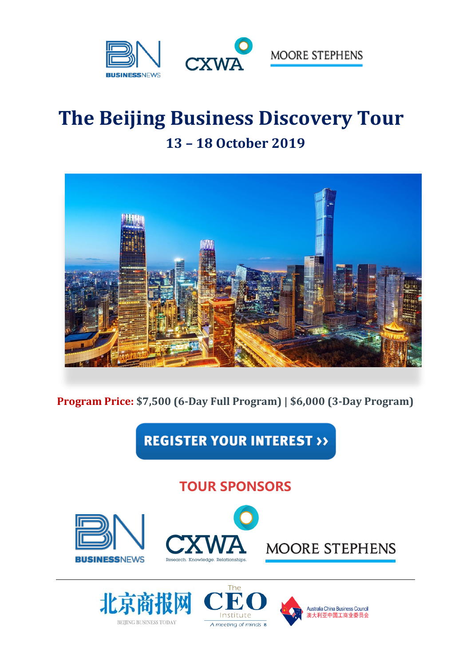

# **The Beijing Business Discovery Tour 13 – 18 October 2019**



**Program Price: \$7,500 (6-Day Full Program) | \$6,000 (3-Day Program)**

**REGISTER YOUR INTEREST >>** 

# **TOUR SPONSORS**







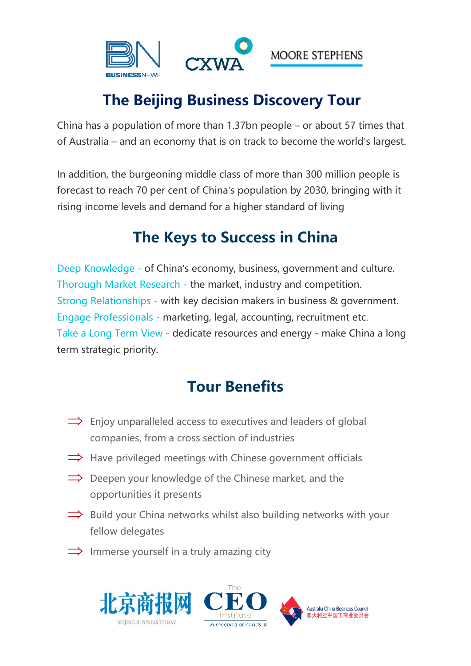

# **The Beijing Business Discovery Tour**

China has a population of more than 1.37bn people – or about 57 times that of Australia – and an economy that is on track to become the world's largest.

In addition, the burgeoning middle class of more than 300 million people is forecast to reach 70 per cent of China's population by 2030, bringing with it rising income levels and demand for a higher standard of living

# **The Keys to Success in China**

Deep Knowledge - of China's economy, business, government and culture. Thorough Market Research - the market, industry and competition. Strong Relationships - with key decision makers in business & government. Engage Professionals - marketing, legal, accounting, recruitment etc. Take a Long Term View - dedicate resources and energy - make China a long term strategic priority.

# **Tour Benefits**

- $\implies$  Enjoy unparalleled access to executives and leaders of global companies, from a cross section of industries
- $\implies$  Have privileged meetings with Chinese government officials
- $\implies$  Deepen your knowledge of the Chinese market, and the opportunities it presents
- $\Rightarrow$  Build your China networks whilst also building networks with your fellow delegates
- $\implies$  Immerse yourself in a truly amazing city

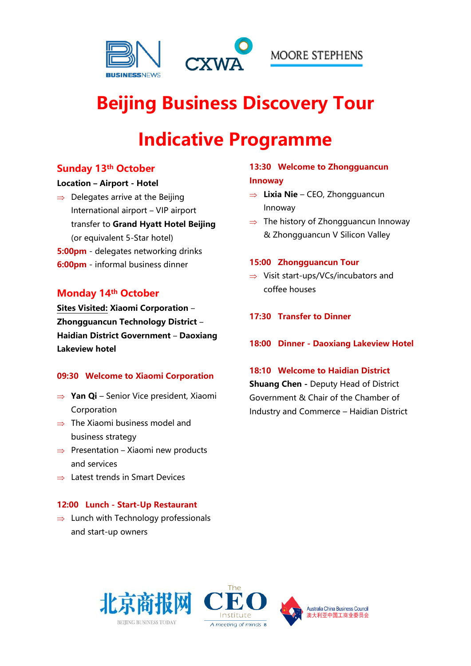

# **Beijing Business Discovery Tour**

# **Indicative Programme**

# **Sunday 13th October**

#### **Location – Airport - Hotel**

- $\Rightarrow$  Delegates arrive at the Beijing International airport – VIP airport transfer to **Grand Hyatt Hotel Beijing** (or equivalent 5-Star hotel) **5:00pm** - delegates networking drinks
- **6:00pm** informal business dinner

# **Monday 14th October**

**Sites Visited: Xiaomi Corporation** – **Zhongguancun Technology District** – **Haidian District Government** – **Daoxiang Lakeview hotel**

#### **09:30 Welcome to Xiaomi Corporation**

- **Yan Qi** Senior Vice president, Xiaomi Corporation
- $\Rightarrow$  The Xiaomi business model and business strategy
- $\Rightarrow$  Presentation Xiaomi new products and services
- $\Rightarrow$  Latest trends in Smart Devices

## **12:00 Lunch - Start-Up Restaurant**

 $\Rightarrow$  Lunch with Technology professionals and start-up owners

## **13:30 Welcome to Zhongguancun Innoway**

- **Lixia Nie** CEO, Zhongguancun Innoway
- $\Rightarrow$  The history of Zhongguancun Innoway & Zhongguancun V Silicon Valley

#### **15:00 Zhongguancun Tour**

- $\Rightarrow$  Visit start-ups/VCs/incubators and coffee houses
- **17:30 Transfer to Dinner**
- **18:00 Dinner - Daoxiang Lakeview Hotel**

#### **18:10 Welcome to Haidian District**

**Shuang Chen -** Deputy Head of District Government & Chair of the Chamber of Industry and Commerce – Haidian District

> Australia China Business Council 澳大利亚中国工商业委员会



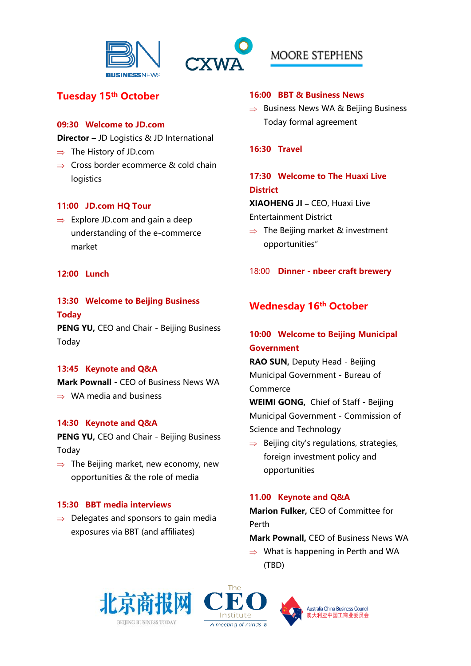



# **Tuesday 15th October**

### **09:30 Welcome to JD.com**

**Director –** JD Logistics & JD International

- $\Rightarrow$  The History of JD.com
- $\Rightarrow$  Cross border ecommerce & cold chain logistics

## **11:00 JD.com HQ Tour**

 $\Rightarrow$  Explore JD.com and gain a deep understanding of the e-commerce market

## **12:00 Lunch**

## **13:30 Welcome to Beijing Business Today**

**PENG YU, CEO and Chair - Beijing Business** Today

## **13:45 Keynote and Q&A**

**Mark Pownall -** CEO of Business News WA  $\Rightarrow$  WA media and business

## **14:30 Keynote and Q&A**

**PENG YU, CEO and Chair - Beijing Business** Today

 $\Rightarrow$  The Beijing market, new economy, new opportunities & the role of media

## **15:30 BBT media interviews**

 $\Rightarrow$  Delegates and sponsors to gain media exposures via BBT (and affiliates)

#### **16:00 BBT & Business News**

 $\Rightarrow$  Business News WA & Beijing Business Today formal agreement

#### **16:30 Travel**

# **17:30 Welcome to The Huaxi Live District**

**XIAOHENG JI –** CEO, Huaxi Live

Entertainment District

 $\Rightarrow$  The Beijing market & investment opportunities"

18:00 **Dinner - nbeer craft brewery**

# **Wednesday 16th October**

# **10:00 Welcome to Beijing Municipal Government**

**RAO SUN,** Deputy Head - Beijing Municipal Government - Bureau of Commerce

**WEIMI GONG,** Chief of Staff - Beijing Municipal Government - Commission of Science and Technology

 $\Rightarrow$  Beijing city's regulations, strategies, foreign investment policy and opportunities

## **11.00 Keynote and Q&A**

**Marion Fulker,** CEO of Committee for Perth

**Mark Pownall,** CEO of Business News WA

 $\Rightarrow$  What is happening in Perth and WA (TBD)





Australia China Business Council 澳大利亚中国工商业委员会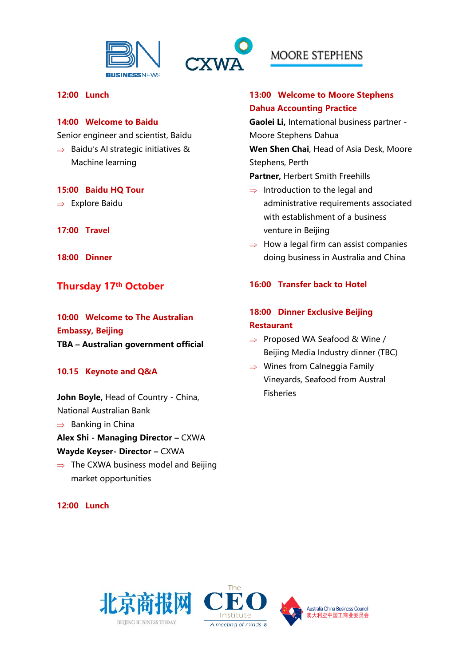



#### **12:00 Lunch**

#### **14:00 Welcome to Baidu**

Senior engineer and scientist, Baidu

 $\Rightarrow$  Baidu's AI strategic initiatives & Machine learning

#### **15:00 Baidu HQ Tour**

- $\Rightarrow$  Explore Baidu
- **17:00 Travel**
- **18:00 Dinner**

# **Thursday 17th October**

**10:00 Welcome to The Australian Embassy, Beijing TBA – Australian government official**

#### **10.15 Keynote and Q&A**

**John Boyle,** Head of Country - China, National Australian Bank  $\Rightarrow$  Banking in China **Alex Shi - Managing Director –** CXWA **Wayde Keyser- Director –** CXWA

 $\Rightarrow$  The CXWA business model and Beijing market opportunities

#### **12:00 Lunch**

# MOORE STEPHENS

# **13:00 Welcome to Moore Stephens Dahua Accounting Practice**

**Gaolei Li,** International business partner - Moore Stephens Dahua

**Wen Shen Chai**, Head of Asia Desk, Moore Stephens, Perth

**Partner,** Herbert Smith Freehills

- $\Rightarrow$  Introduction to the legal and administrative requirements associated with establishment of a business venture in Beijing
- $\Rightarrow$  How a legal firm can assist companies doing business in Australia and China

#### **16:00 Transfer back to Hotel**

# **18:00 Dinner Exclusive Beijing Restaurant**

- $\Rightarrow$  Proposed WA Seafood & Wine / Beijing Media Industry dinner (TBC)
- $\Rightarrow$  Wines from Calneggia Family Vineyards, Seafood from Austral Fisheries





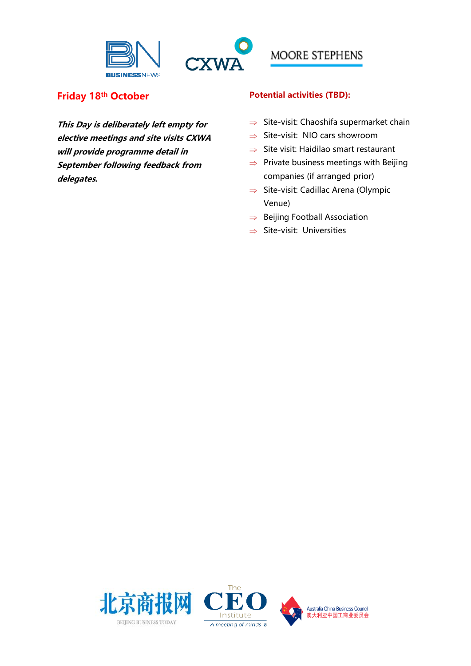



# **Friday 18th October**

**This Day is deliberately left empty for elective meetings and site visits CXWA will provide programme detail in September following feedback from delegates.**

## **Potential activities (TBD):**

- $\Rightarrow$  Site-visit: Chaoshifa supermarket chain
- $\Rightarrow$  Site-visit: NIO cars showroom
- $\Rightarrow$  Site visit: Haidilao smart restaurant
- $\Rightarrow$  Private business meetings with Beijing companies (if arranged prior)
- $\Rightarrow$  Site-visit: Cadillac Arena (Olympic Venue)
- $\Rightarrow$  Beijing Football Association
- $\Rightarrow$  Site-visit: Universities





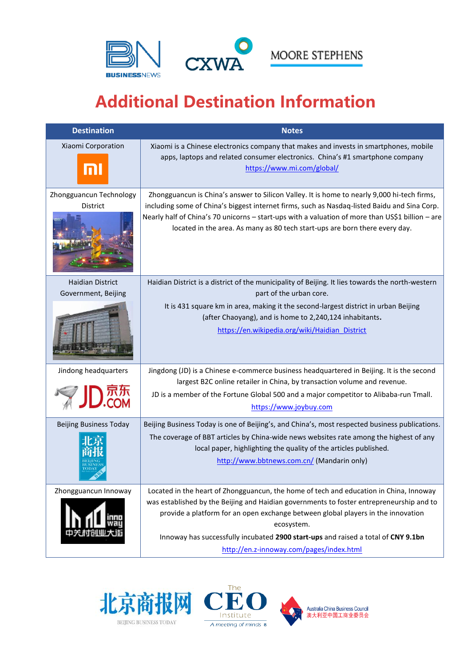

# **Additional Destination Information**

| <b>Destination</b>                                    | <b>Notes</b>                                                                                                                                                                                                                                                                                                                                                                                                                                                                                                                                                                                           |
|-------------------------------------------------------|--------------------------------------------------------------------------------------------------------------------------------------------------------------------------------------------------------------------------------------------------------------------------------------------------------------------------------------------------------------------------------------------------------------------------------------------------------------------------------------------------------------------------------------------------------------------------------------------------------|
| Xiaomi Corporation<br>nl                              | Xiaomi is a Chinese electronics company that makes and invests in smartphones, mobile<br>apps, laptops and related consumer electronics. China's #1 smartphone company<br>https://www.mi.com/global/                                                                                                                                                                                                                                                                                                                                                                                                   |
| Zhongguancun Technology<br>District                   | Zhongguancun is China's answer to Silicon Valley. It is home to nearly 9,000 hi-tech firms,<br>including some of China's biggest internet firms, such as Nasdaq-listed Baidu and Sina Corp.<br>Nearly half of China's 70 unicorns - start-ups with a valuation of more than US\$1 billion - are<br>located in the area. As many as 80 tech start-ups are born there every day.                                                                                                                                                                                                                         |
| <b>Haidian District</b><br>Government, Beijing        | Haidian District is a district of the municipality of Beijing. It lies towards the north-western<br>part of the urban core.<br>It is 431 square km in area, making it the second-largest district in urban Beijing<br>(after Chaoyang), and is home to 2,240,124 inhabitants.<br>https://en.wikipedia.org/wiki/Haidian District                                                                                                                                                                                                                                                                        |
| Jindong headquarters<br><b>Beijing Business Today</b> | Jingdong (JD) is a Chinese e-commerce business headquartered in Beijing. It is the second<br>largest B2C online retailer in China, by transaction volume and revenue.<br>JD is a member of the Fortune Global 500 and a major competitor to Alibaba-run Tmall.<br>https://www.joybuy.com<br>Beijing Business Today is one of Beijing's, and China's, most respected business publications.<br>The coverage of BBT articles by China-wide news websites rate among the highest of any<br>local paper, highlighting the quality of the articles published.<br>http://www.bbtnews.com.cn/ (Mandarin only) |
| Zhongguancun Innoway                                  | Located in the heart of Zhongguancun, the home of tech and education in China, Innoway<br>was established by the Beijing and Haidian governments to foster entrepreneurship and to<br>provide a platform for an open exchange between global players in the innovation<br>ecosystem.<br>Innoway has successfully incubated 2900 start-ups and raised a total of CNY 9.1bn<br>http://en.z-innoway.com/pages/index.html                                                                                                                                                                                  |





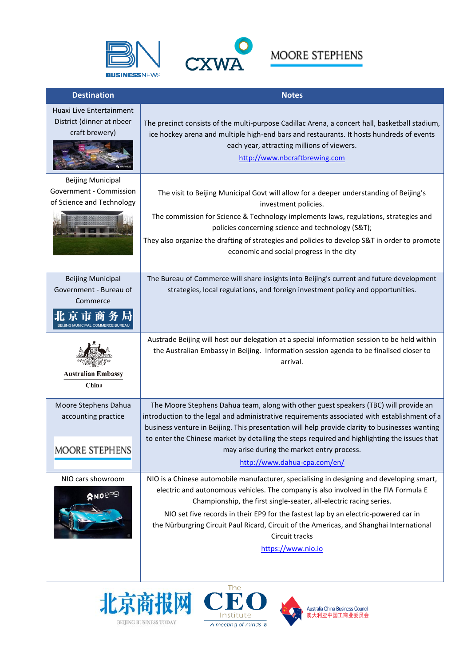



| <b>Destination</b>                                                               | <b>Notes</b>                                                                                                                                                                                                                                                                                                                                                                                                                                                                      |
|----------------------------------------------------------------------------------|-----------------------------------------------------------------------------------------------------------------------------------------------------------------------------------------------------------------------------------------------------------------------------------------------------------------------------------------------------------------------------------------------------------------------------------------------------------------------------------|
| Huaxi Live Entertainment<br>District (dinner at nbeer<br>craft brewery)          | The precinct consists of the multi-purpose Cadillac Arena, a concert hall, basketball stadium,<br>ice hockey arena and multiple high-end bars and restaurants. It hosts hundreds of events<br>each year, attracting millions of viewers.<br>http://www.nbcraftbrewing.com                                                                                                                                                                                                         |
| <b>Beijing Municipal</b><br>Government - Commission<br>of Science and Technology | The visit to Beijing Municipal Govt will allow for a deeper understanding of Beijing's<br>investment policies.<br>The commission for Science & Technology implements laws, regulations, strategies and<br>policies concerning science and technology (S&T);<br>They also organize the drafting of strategies and policies to develop S&T in order to promote<br>economic and social progress in the city                                                                          |
| <b>Beijing Municipal</b><br>Government - Bureau of<br>Commerce<br>北京市商           | The Bureau of Commerce will share insights into Beijing's current and future development<br>strategies, local regulations, and foreign investment policy and opportunities.                                                                                                                                                                                                                                                                                                       |
| <b>Australian Embassy</b><br>China                                               | Austrade Beijing will host our delegation at a special information session to be held within<br>the Australian Embassy in Beijing. Information session agenda to be finalised closer to<br>arrival.                                                                                                                                                                                                                                                                               |
| Moore Stephens Dahua<br>accounting practice<br>MOORE STEPHENS                    | The Moore Stephens Dahua team, along with other guest speakers (TBC) will provide an<br>introduction to the legal and administrative requirements associated with establishment of a<br>business venture in Beijing. This presentation will help provide clarity to businesses wanting<br>to enter the Chinese market by detailing the steps required and highlighting the issues that<br>may arise during the market entry process.                                              |
|                                                                                  | http://www.dahua-cpa.com/en/                                                                                                                                                                                                                                                                                                                                                                                                                                                      |
| NIO cars showroom<br>R NIO CP9                                                   | NIO is a Chinese automobile manufacturer, specialising in designing and developing smart,<br>electric and autonomous vehicles. The company is also involved in the FIA Formula E<br>Championship, the first single-seater, all-electric racing series.<br>NIO set five records in their EP9 for the fastest lap by an electric-powered car in<br>the Nürburgring Circuit Paul Ricard, Circuit of the Americas, and Shanghai International<br>Circuit tracks<br>https://www.nio.io |





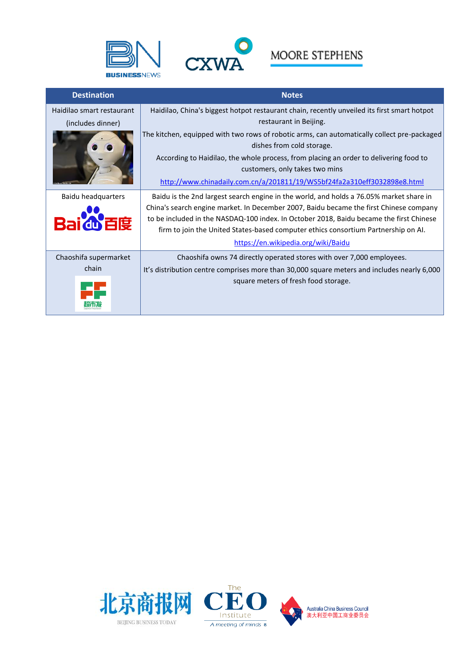



| <b>Destination</b>        | <b>Notes</b>                                                                                                             |
|---------------------------|--------------------------------------------------------------------------------------------------------------------------|
| Haidilao smart restaurant | Haidilao, China's biggest hotpot restaurant chain, recently unveiled its first smart hotpot                              |
| (includes dinner)         | restaurant in Beijing.                                                                                                   |
|                           | The kitchen, equipped with two rows of robotic arms, can automatically collect pre-packaged<br>dishes from cold storage. |
|                           | According to Haidilao, the whole process, from placing an order to delivering food to<br>customers, only takes two mins  |
|                           | http://www.chinadaily.com.cn/a/201811/19/WS5bf24fa2a310eff3032898e8.html                                                 |
| Baidu headquarters        | Baidu is the 2nd largest search engine in the world, and holds a 76.05% market share in                                  |
|                           | China's search engine market. In December 2007, Baidu became the first Chinese company                                   |
|                           | to be included in the NASDAQ-100 index. In October 2018, Baidu became the first Chinese                                  |
|                           | firm to join the United States-based computer ethics consortium Partnership on Al.                                       |
|                           | https://en.wikipedia.org/wiki/Baidu                                                                                      |
| Chaoshifa supermarket     | Chaoshifa owns 74 directly operated stores with over 7,000 employees.                                                    |
| chain                     | It's distribution centre comprises more than 30,000 square meters and includes nearly 6,000                              |
|                           | square meters of fresh food storage.                                                                                     |